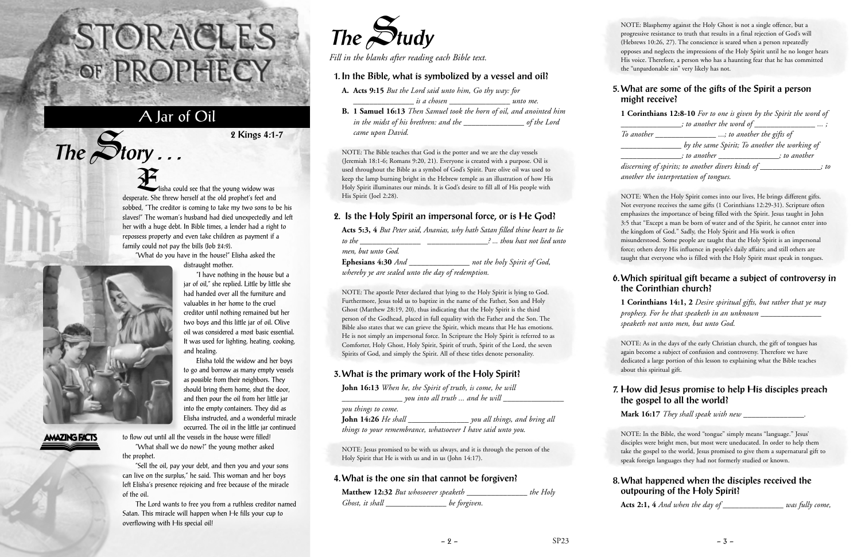isha could see that the young widow was desperate. She threw herself at the old prophet's feet and sobbed, "The creditor is coming to take my two sons to be his slaves!" The woman's husband had died unexpectedly and left her with a huge debt. In Bible times, a lender had a right to repossess property and even take children as payment if a family could not pay the bills (Job 24:9).

"What do you have in the house?" Elisha asked the

distraught mother.

"I have nothing in the house but a jar of oil," she replied. Little by little she had handed over all the furniture and valuables in her home to the cruel creditor until nothing remained but her two boys and this little jar of oil. Olive oil was considered a most basic essential. It was used for lighting, heating, cooking, and healing.

Elisha told the widow and her boys to go and borrow as many empty vessels as possible from their neighbors. They should bring them home, shut the door, and then pour the oil from her little jar into the empty containers. They did as Elisha instructed, and a wonderful miracle occurred. The oil in the little jar continued

**AMAZING FACTS** 

to flow out until all the vessels in the house were filled! "What shall we do now?" the young mother asked the prophet.

"Sell the oil, pay your debt, and then you and your sons can live on the surplus," he said. This woman and her boys left Elisha's presence rejoicing and free because of the miracle of the oil.

The Lord wants to free you from a ruthless creditor named Satan. This miracle will happen when He fills your cup to overflowing with His special oil!

The  $\mathcal{S}_t$  tudy

# STORACLES-OF PROPHECY

## A Jar of Oil

 $The$  $S$ **tory** ...

**2 Kings 4:1-7**

*Fill in the blanks after reading each Bible text.*

#### **1. In the Bible, what is symbolized by a vessel and oil?**

- **A. Acts 9:15** *But the Lord said unto him, Go thy way: for*
	- *\_\_\_\_\_\_\_\_\_\_\_\_\_\_\_ is a chosen \_\_\_\_\_\_\_\_\_\_\_\_\_\_\_ unto me.*
- **B. 1 Samuel 16:13** *Then Samuel took the horn of oil, and anointed him in the midst of his brethren: and the \_\_\_\_\_\_\_\_\_\_\_\_\_\_\_ of the Lord came upon David.*

NOTE: The Bible teaches that God is the potter and we are the clay vessels (Jeremiah 18:1-6; Romans 9:20, 21). Everyone is created with a purpose. Oil is used throughout the Bible as a symbol of God's Spirit. Pure olive oil was used to keep the lamp burning bright in the Hebrew temple as an illustration of how His Holy Spirit illuminates our minds. It is God's desire to fill all of His people with His Spirit (Joel 2:28).

#### **2. Is the Holy Spirit an impersonal force, or is He God?**

|                                                   | Acts 5:3, 4 But Peter said, Ananias, why hath Satan filled thine heart to lie |
|---------------------------------------------------|-------------------------------------------------------------------------------|
| to the                                            | thou hast not lied unto                                                       |
| men, but unto God.                                |                                                                               |
| Ephesians 4:30 And                                | not the holy Spirit of God,                                                   |
| whereby ye are sealed unto the day of redemption. |                                                                               |

NOTE: The apostle Peter declared that lying to the Holy Spirit is lying to God. Furthermore, Jesus told us to baptize in the name of the Father, Son and Holy Ghost (Matthew 28:19, 20), thus indicating that the Holy Spirit is the third person of the Godhead, placed in full equality with the Father and the Son. The Bible also states that we can grieve the Spirit, which means that He has emotions. He is not simply an impersonal force. In Scripture the Holy Spirit is referred to as Comforter, Holy Ghost, Holy Spirit, Spirit of truth, Spirit of the Lord, the seven Spirits of God, and simply the Spirit. All of these titles denote personality.

### **3. What is the primary work of the Holy Spirit?**

| <b>John 16:13</b> When he, the Spirit of truth, is come, he will |                                 |
|------------------------------------------------------------------|---------------------------------|
|                                                                  | you into all truth  and he will |
| you things to come.                                              |                                 |
| <b>John 14:26</b> He shall                                       | you all things, and bring all   |
| things to your remembrance, whatsoever I have said unto you.     |                                 |
|                                                                  |                                 |

NOTE: Jesus promised to be with us always, and it is through the person of the Holy Spirit that He is with us and in us (John 14:17).

#### **4. What is the one sin that cannot be forgiven?**

| <b>Matthew 12:32</b> But whosoever speaketh |              | the Holy |
|---------------------------------------------|--------------|----------|
| Ghost, it shall                             | be forgiven. |          |

NOTE: Blasphemy against the Holy Ghost is not a single offence, but a progressive resistance to truth that results in a final rejection of God's will (Hebrews 10:26, 27). The conscience is seared when a person repeatedly opposes and neglects the impressions of the Holy Spirit until he no longer hears His voice. Therefore, a person who has a haunting fear that he has committed the "unpardonable sin" very likely has not.

#### **5. What are some of the gifts of the Spirit a person might receive?**

**1 Corinthians 12:8-10** *For to one is given by the Spirit the word of \_\_\_\_\_\_\_\_\_\_\_\_\_\_\_; to another the word of \_\_\_\_\_\_\_\_\_\_\_\_\_\_\_ ... ; To another \_\_\_\_\_\_\_\_\_\_\_\_\_\_\_ ...; to another the gifts of \_\_\_\_\_\_\_\_\_\_\_\_\_\_\_ by the same Spirit; To another the working of*

*\_\_\_\_\_\_\_\_\_\_\_\_\_\_\_; to another \_\_\_\_\_\_\_\_\_\_\_\_\_\_\_; to another discerning of spirits; to another divers kinds of \_\_\_\_\_\_\_\_\_\_\_\_\_\_\_; to another the interpretation of tongues.*

NOTE: When the Holy Spirit comes into our lives, He brings different gifts. Not everyone receives the same gifts (1 Corinthians 12:29-31). Scripture often emphasizes the importance of being filled with the Spirit. Jesus taught in John 3:5 that "Except a man be born of water and of the Spirit, he cannot enter into the kingdom of God." Sadly, the Holy Spirit and His work is often misunderstood. Some people are taught that the Holy Spirit is an impersonal force; others deny His influence in people's daily affairs; and still others are taught that everyone who is filled with the Holy Spirit must speak in tongues.

#### **6. Which spiritual gift became a subject of controversy in the Corinthian church?**

**1 Corinthians 14:1, 2** *Desire spiritual gifts, but rather that ye may prophesy. For he that speaketh in an unknown \_\_\_\_\_\_\_\_\_\_\_\_\_\_\_ speaketh not unto men, but unto God.*

NOTE: As in the days of the early Christian church, the gift of tongues has again become a subject of confusion and controversy. Therefore we have dedicated a large portion of this lesson to explaining what the Bible teaches about this spiritual gift.

#### **7. How did Jesus promise to help His disciples preach the gospel to all the world?**

**Mark 16:17** *They shall speak with new \_\_\_\_\_\_\_\_\_\_\_\_\_\_\_.*

NOTE: In the Bible, the word "tongue" simply means "language." Jesus' disciples were bright men, but most were uneducated. In order to help them take the gospel to the world, Jesus promised to give them a supernatural gift to speak foreign languages they had not formerly studied or known.

#### **8. What happened when the disciples received the outpouring of the Holy Spirit?**

**Acts 2:1, 4** *And when the day of \_\_\_\_\_\_\_\_\_\_\_\_\_\_\_ was fully come,*